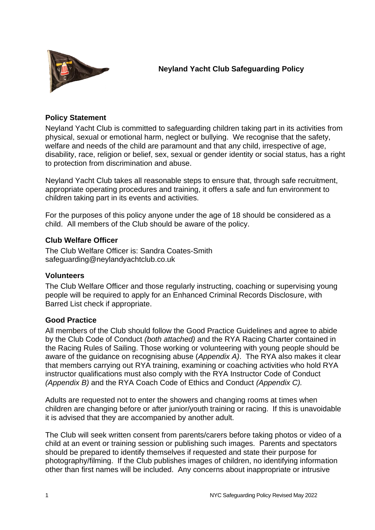

**Neyland Yacht Club Safeguarding Policy**

### **Policy Statement**

Neyland Yacht Club is committed to safeguarding children taking part in its activities from physical, sexual or emotional harm, neglect or bullying. We recognise that the safety, welfare and needs of the child are paramount and that any child, irrespective of age, disability, race, religion or belief, sex, sexual or gender identity or social status, has a right to protection from discrimination and abuse.

Neyland Yacht Club takes all reasonable steps to ensure that, through safe recruitment, appropriate operating procedures and training, it offers a safe and fun environment to children taking part in its events and activities.

For the purposes of this policy anyone under the age of 18 should be considered as a child. All members of the Club should be aware of the policy.

### **Club Welfare Officer**

The Club Welfare Officer is: Sandra Coates-Smith safeguarding@neylandyachtclub.co.uk

#### **Volunteers**

The Club Welfare Officer and those regularly instructing, coaching or supervising young people will be required to apply for an Enhanced Criminal Records Disclosure, with Barred List check if appropriate.

### **Good Practice**

All members of the Club should follow the Good Practice Guidelines and agree to abide by the Club Code of Conduct *(both attached)* and the RYA Racing Charter contained in the Racing Rules of Sailing. Those working or volunteering with young people should be aware of the guidance on recognising abuse (*Appendix A)*. The RYA also makes it clear that members carrying out RYA training, examining or coaching activities who hold RYA instructor qualifications must also comply with the RYA Instructor Code of Conduct *(Appendix B)* and the RYA Coach Code of Ethics and Conduct *(Appendix C).*

Adults are requested not to enter the showers and changing rooms at times when children are changing before or after junior/youth training or racing. If this is unavoidable it is advised that they are accompanied by another adult.

The Club will seek written consent from parents/carers before taking photos or video of a child at an event or training session or publishing such images. Parents and spectators should be prepared to identify themselves if requested and state their purpose for photography/filming. If the Club publishes images of children, no identifying information other than first names will be included. Any concerns about inappropriate or intrusive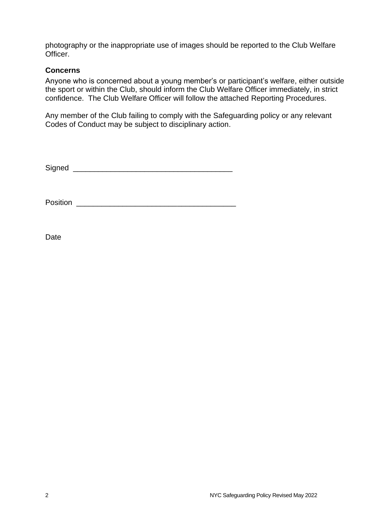photography or the inappropriate use of images should be reported to the Club Welfare Officer.

### **Concerns**

Anyone who is concerned about a young member's or participant's welfare, either outside the sport or within the Club, should inform the Club Welfare Officer immediately, in strict confidence. The Club Welfare Officer will follow the attached Reporting Procedures.

Any member of the Club failing to comply with the Safeguarding policy or any relevant Codes of Conduct may be subject to disciplinary action.

 $Signal$   $\qquad \qquad$ 

Position \_\_\_\_\_\_\_\_\_\_\_\_\_\_\_\_\_\_\_\_\_\_\_\_\_\_\_\_\_\_\_\_\_\_\_\_\_\_

Date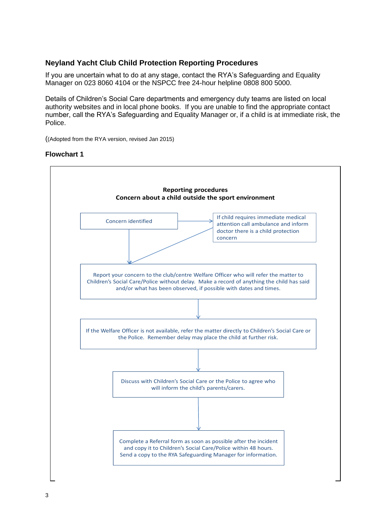### **Neyland Yacht Club Child Protection Reporting Procedures**

If you are uncertain what to do at any stage, contact the RYA's Safeguarding and Equality Manager on 023 8060 4104 or the NSPCC free 24-hour helpline 0808 800 5000.

Details of Children's Social Care departments and emergency duty teams are listed on local authority websites and in local phone books. If you are unable to find the appropriate contact number, call the RYA's Safeguarding and Equality Manager or, if a child is at immediate risk, the Police.

((Adopted from the RYA version, revised Jan 2015)

#### **Flowchart 1**

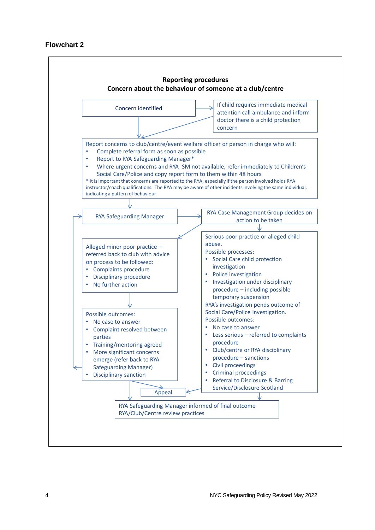### **Flowchart 2**

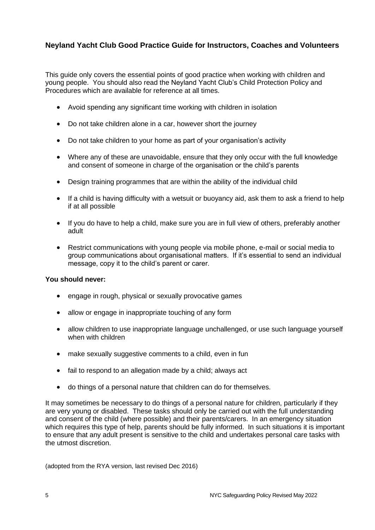# **Neyland Yacht Club Good Practice Guide for Instructors, Coaches and Volunteers**

This guide only covers the essential points of good practice when working with children and young people. You should also read the Neyland Yacht Club's Child Protection Policy and Procedures which are available for reference at all times.

- Avoid spending any significant time working with children in isolation
- Do not take children alone in a car, however short the journey
- Do not take children to your home as part of your organisation's activity
- Where any of these are unavoidable, ensure that they only occur with the full knowledge and consent of someone in charge of the organisation or the child's parents
- Design training programmes that are within the ability of the individual child
- If a child is having difficulty with a wetsuit or buoyancy aid, ask them to ask a friend to help if at all possible
- If you do have to help a child, make sure you are in full view of others, preferably another adult
- Restrict communications with young people via mobile phone, e-mail or social media to group communications about organisational matters. If it's essential to send an individual message, copy it to the child's parent or carer.

### **You should never:**

- engage in rough, physical or sexually provocative games
- allow or engage in inappropriate touching of any form
- allow children to use inappropriate language unchallenged, or use such language yourself when with children
- make sexually suggestive comments to a child, even in fun
- fail to respond to an allegation made by a child; always act
- do things of a personal nature that children can do for themselves.

It may sometimes be necessary to do things of a personal nature for children, particularly if they are very young or disabled. These tasks should only be carried out with the full understanding and consent of the child (where possible) and their parents/carers. In an emergency situation which requires this type of help, parents should be fully informed. In such situations it is important to ensure that any adult present is sensitive to the child and undertakes personal care tasks with the utmost discretion.

(adopted from the RYA version, last revised Dec 2016)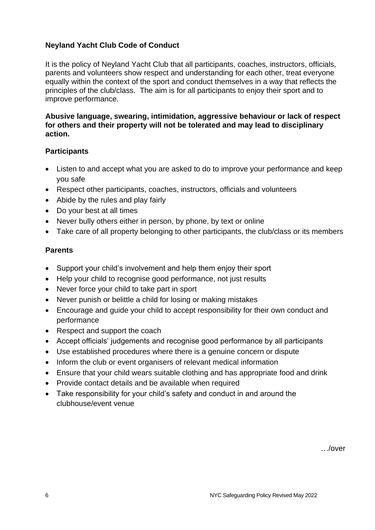# **Neyland Yacht Club Code of Conduct**

It is the policy of Neyland Yacht Club that all participants, coaches, instructors, officials, parents and volunteers show respect and understanding for each other, treat everyone equally within the context of the sport and conduct themselves in a way that reflects the principles of the club/class. The aim is for all participants to enjoy their sport and to improve performance.

**Abusive language, swearing, intimidation, aggressive behaviour or lack of respect for others and their property will not be tolerated and may lead to disciplinary action.**

# **Participants**

- Listen to and accept what you are asked to do to improve your performance and keep you safe
- Respect other participants, coaches, instructors, officials and volunteers
- Abide by the rules and play fairly
- Do your best at all times
- Never bully others either in person, by phone, by text or online
- Take care of all property belonging to other participants, the club/class or its members

# **Parents**

- Support your child's involvement and help them enjoy their sport
- Help your child to recognise good performance, not just results
- Never force your child to take part in sport
- Never punish or belittle a child for losing or making mistakes
- Encourage and guide your child to accept responsibility for their own conduct and performance
- Respect and support the coach
- Accept officials' judgements and recognise good performance by all participants
- Use established procedures where there is a genuine concern or dispute
- Inform the club or event organisers of relevant medical information
- Ensure that your child wears suitable clothing and has appropriate food and drink
- Provide contact details and be available when required
- Take responsibility for your child's safety and conduct in and around the clubhouse/event venue

…/over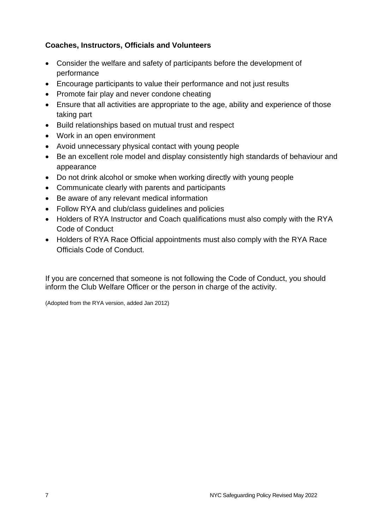# **Coaches, Instructors, Officials and Volunteers**

- Consider the welfare and safety of participants before the development of performance
- Encourage participants to value their performance and not just results
- Promote fair play and never condone cheating
- Ensure that all activities are appropriate to the age, ability and experience of those taking part
- Build relationships based on mutual trust and respect
- Work in an open environment
- Avoid unnecessary physical contact with young people
- Be an excellent role model and display consistently high standards of behaviour and appearance
- Do not drink alcohol or smoke when working directly with young people
- Communicate clearly with parents and participants
- Be aware of any relevant medical information
- Follow RYA and club/class guidelines and policies
- Holders of RYA Instructor and Coach qualifications must also comply with the RYA Code of Conduct
- Holders of RYA Race Official appointments must also comply with the RYA Race Officials Code of Conduct.

If you are concerned that someone is not following the Code of Conduct, you should inform the Club Welfare Officer or the person in charge of the activity.

(Adopted from the RYA version, added Jan 2012)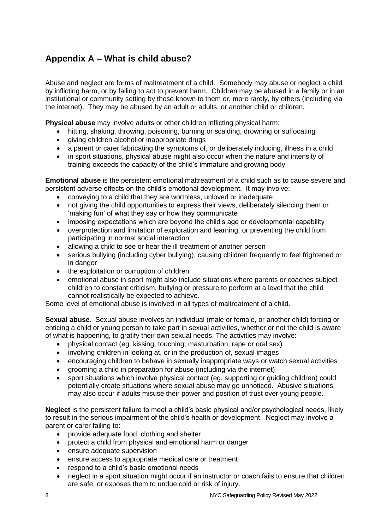# **Appendix A – What is child abuse?**

Abuse and neglect are forms of maltreatment of a child. Somebody may abuse or neglect a child by inflicting harm, or by failing to act to prevent harm. Children may be abused in a family or in an institutional or community setting by those known to them or, more rarely, by others (including via the internet). They may be abused by an adult or adults, or another child or children.

**Physical abuse** may involve adults or other children inflicting physical harm:

- hitting, shaking, throwing, poisoning, burning or scalding, drowning or suffocating
- giving children alcohol or inappropriate drugs
- a parent or carer fabricating the symptoms of, or deliberately inducing, illness in a child
- in sport situations, physical abuse might also occur when the nature and intensity of training exceeds the capacity of the child's immature and growing body.

**Emotional abuse** is the persistent emotional maltreatment of a child such as to cause severe and persistent adverse effects on the child's emotional development. It may involve:

- conveying to a child that they are worthless, unloved or inadequate
- not giving the child opportunities to express their views, deliberately silencing them or 'making fun' of what they say or how they communicate
- imposing expectations which are beyond the child's age or developmental capability
- overprotection and limitation of exploration and learning, or preventing the child from participating in normal social interaction
- allowing a child to see or hear the ill-treatment of another person
- serious bullying (including cyber bullying), causing children frequently to feel frightened or in danger
- the exploitation or corruption of children
- emotional abuse in sport might also include situations where parents or coaches subject children to constant criticism, bullying or pressure to perform at a level that the child cannot realistically be expected to achieve.

Some level of emotional abuse is involved in all types of maltreatment of a child.

**Sexual abuse.** Sexual abuse involves an individual (male or female, or another child) forcing or enticing a child or young person to take part in sexual activities, whether or not the child is aware of what is happening, to gratify their own sexual needs. The activities may involve:

- physical contact (eg. kissing, touching, masturbation, rape or oral sex)
- involving children in looking at, or in the production of, sexual images
- encouraging children to behave in sexually inappropriate ways or watch sexual activities
- grooming a child in preparation for abuse (including via the internet)
- sport situations which involve physical contact (eg. supporting or guiding children) could potentially create situations where sexual abuse may go unnoticed. Abusive situations may also occur if adults misuse their power and position of trust over young people.

**Neglect** is the persistent failure to meet a child's basic physical and/or psychological needs, likely to result in the serious impairment of the child's health or development. Neglect may involve a parent or carer failing to:

- provide adequate food, clothing and shelter
- protect a child from physical and emotional harm or danger
- ensure adequate supervision
- ensure access to appropriate medical care or treatment
- respond to a child's basic emotional needs
- neglect in a sport situation might occur if an instructor or coach fails to ensure that children are safe, or exposes them to undue cold or risk of injury.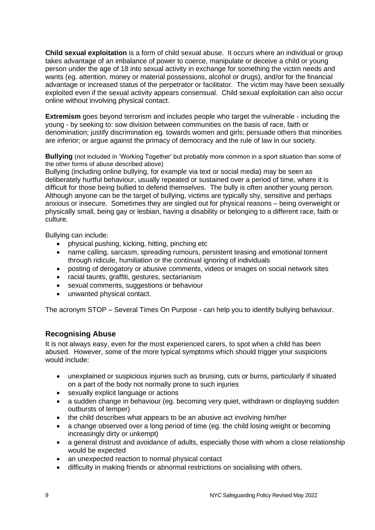**Child sexual exploitation** is a form of child sexual abuse. It occurs where an individual or group takes advantage of an imbalance of power to coerce, manipulate or deceive a child or young person under the age of 18 into sexual activity in exchange for something the victim needs and wants (eg. attention, money or material possessions, alcohol or drugs), and/or for the financial advantage or increased status of the perpetrator or facilitator. The victim may have been sexually exploited even if the sexual activity appears consensual. Child sexual exploitation can also occur online without involving physical contact.

**Extremism** goes beyond terrorism and includes people who target the vulnerable - including the young - by seeking to: sow division between communities on the basis of race, faith or denomination; justify discrimination eg. towards women and girls; persuade others that minorities are inferior; or argue against the primacy of democracy and the rule of law in our society.

**Bullying** (not included in 'Working Together' but probably more common in a sport situation than some of the other forms of abuse described above)

Bullying (including online bullying, for example via text or social media) may be seen as deliberately hurtful behaviour, usually repeated or sustained over a period of time, where it is difficult for those being bullied to defend themselves. The bully is often another young person. Although anyone can be the target of bullying, victims are typically shy, sensitive and perhaps anxious or insecure. Sometimes they are singled out for physical reasons – being overweight or physically small, being gay or lesbian, having a disability or belonging to a different race, faith or culture.

Bullying can include:

- physical pushing, kicking, hitting, pinching etc
- name calling, sarcasm, spreading rumours, persistent teasing and emotional torment through ridicule, humiliation or the continual ignoring of individuals
- posting of derogatory or abusive comments, videos or images on social network sites
- racial taunts, graffiti, gestures, sectarianism
- sexual comments, suggestions or behaviour
- unwanted physical contact.

The acronym STOP – Several Times On Purpose - can help you to identify bullying behaviour.

### **Recognising Abuse**

It is not always easy, even for the most experienced carers, to spot when a child has been abused. However, some of the more typical symptoms which should trigger your suspicions would include:

- unexplained or suspicious injuries such as bruising, cuts or burns, particularly if situated on a part of the body not normally prone to such injuries
- sexually explicit language or actions
- a sudden change in behaviour (eg. becoming very quiet, withdrawn or displaying sudden outbursts of temper)
- the child describes what appears to be an abusive act involving him/her
- a change observed over a long period of time (eg. the child losing weight or becoming increasingly dirty or unkempt)
- a general distrust and avoidance of adults, especially those with whom a close relationship would be expected
- an unexpected reaction to normal physical contact
- difficulty in making friends or abnormal restrictions on socialising with others.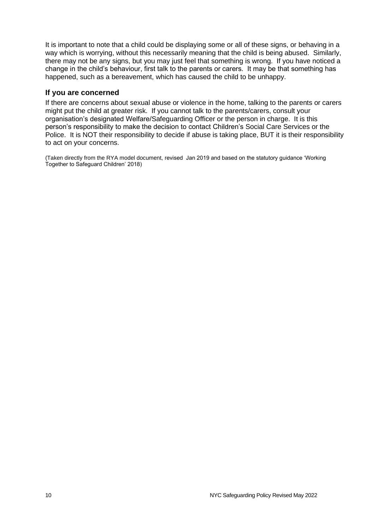It is important to note that a child could be displaying some or all of these signs, or behaving in a way which is worrying, without this necessarily meaning that the child is being abused. Similarly, there may not be any signs, but you may just feel that something is wrong. If you have noticed a change in the child's behaviour, first talk to the parents or carers. It may be that something has happened, such as a bereavement, which has caused the child to be unhappy.

### **If you are concerned**

If there are concerns about sexual abuse or violence in the home, talking to the parents or carers might put the child at greater risk. If you cannot talk to the parents/carers, consult your organisation's designated Welfare/Safeguarding Officer or the person in charge. It is this person's responsibility to make the decision to contact Children's Social Care Services or the Police. It is NOT their responsibility to decide if abuse is taking place, BUT it is their responsibility to act on your concerns.

(Taken directly from the RYA model document, revised Jan 2019 and based on the statutory guidance 'Working Together to Safeguard Children' 2018)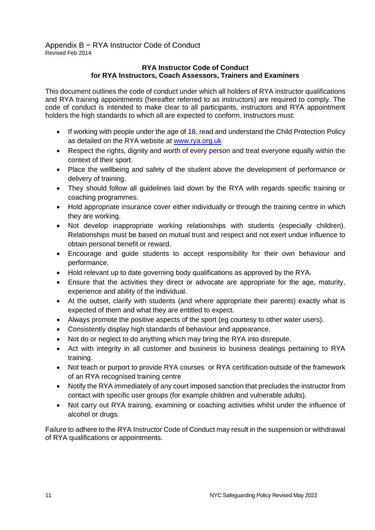Appendix B − RYA Instructor Code of Conduct Revised Feb 2014

#### **RYA Instructor Code of Conduct for RYA Instructors, Coach Assessors, Trainers and Examiners**

This document outlines the code of conduct under which all holders of RYA instructor qualifications and RYA training appointments (hereafter referred to as instructors) are required to comply. The code of conduct is intended to make clear to all participants, instructors and RYA appointment holders the high standards to which all are expected to conform. Instructors must:

- If working with people under the age of 18, read and understand the Child Protection Policy as detailed on the RYA website at [www.rya.org.uk](http://www.rya.org.uk/)
- Respect the rights, dignity and worth of every person and treat everyone equally within the context of their sport.
- Place the wellbeing and safety of the student above the development of performance or delivery of training.
- They should follow all guidelines laid down by the RYA with regards specific training or coaching programmes.
- Hold appropriate insurance cover either individually or through the training centre in which they are working.
- Not develop inappropriate working relationships with students (especially children). Relationships must be based on mutual trust and respect and not exert undue influence to obtain personal benefit or reward.
- Encourage and guide students to accept responsibility for their own behaviour and performance.
- Hold relevant up to date governing body qualifications as approved by the RYA.
- Ensure that the activities they direct or advocate are appropriate for the age, maturity, experience and ability of the individual.
- At the outset, clarify with students (and where appropriate their parents) exactly what is expected of them and what they are entitled to expect.
- Always promote the positive aspects of the sport (eg courtesy to other water users).
- Consistently display high standards of behaviour and appearance.
- Not do or neglect to do anything which may bring the RYA into disrepute.
- Act with integrity in all customer and business to business dealings pertaining to RYA training.
- Not teach or purport to provide RYA courses or RYA certification outside of the framework of an RYA recognised training centre
- Notify the RYA immediately of any court imposed sanction that precludes the instructor from contact with specific user groups (for example children and vulnerable adults).
- Not carry out RYA training, examining or coaching activities whilst under the influence of alcohol or drugs.

Failure to adhere to the RYA Instructor Code of Conduct may result in the suspension or withdrawal of RYA qualifications or appointments.